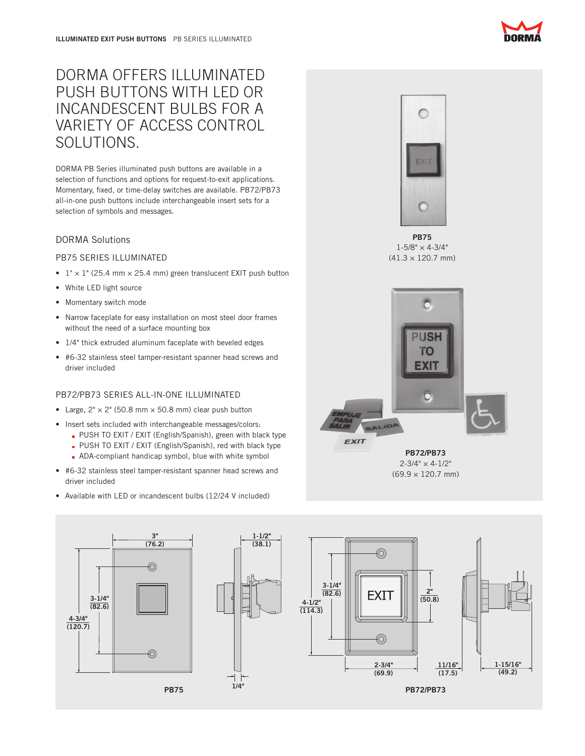# DORMA OFFERS ILLUMINATED PUSH BUTTONS WITH LED OR INCANDESCENT BULBS FOR A VARIETY OF ACCESS CONTROL SOLUTIONS.

DORMA PB Series illuminated push buttons are available in a selection of functions and options for request-to-exit applications. Momentary, fixed, or time-delay switches are available. PB72/PB73 all-in-one push buttons include interchangeable insert sets for a selection of symbols and messages.

## DORMA Solutions

## PB75 SERIES ILLUMINATED

- $1" \times 1"$  (25.4 mm  $\times$  25.4 mm) green translucent EXIT push button
- White LED light source
- Momentary switch mode
- Narrow faceplate for easy installation on most steel door frames without the need of a surface mounting box
- 1/4" thick extruded aluminum faceplate with beveled edges
- • #6-32 stainless steel tamper-resistant spanner head screws and driver included

## PB72/PB73 SERIES ALL-IN-ONE ILLUMINATED

- Large,  $2" \times 2"$  (50.8 mm  $\times$  50.8 mm) clear push button
- Insert sets included with interchangeable messages/colors:
	- **PUSH TO EXIT / EXIT (English/Spanish), green with black type** 
		- **PUSH TO EXIT / EXIT (English/Spanish), red with black type**
		- **ADA-compliant handicap symbol, blue with white symbol**
- • #6-32 stainless steel tamper-resistant spanner head screws and driver included
- Available with LED or incandescent bulbs (12/24 V included)



PB75  $1 - 5/8" \times 4 - 3/4"$  $(41.3 \times 120.7 \text{ mm})$ 



PB72/PB73  $2 - 3/4" \times 4 - 1/2"$ (69.9 × 120.7 mm)